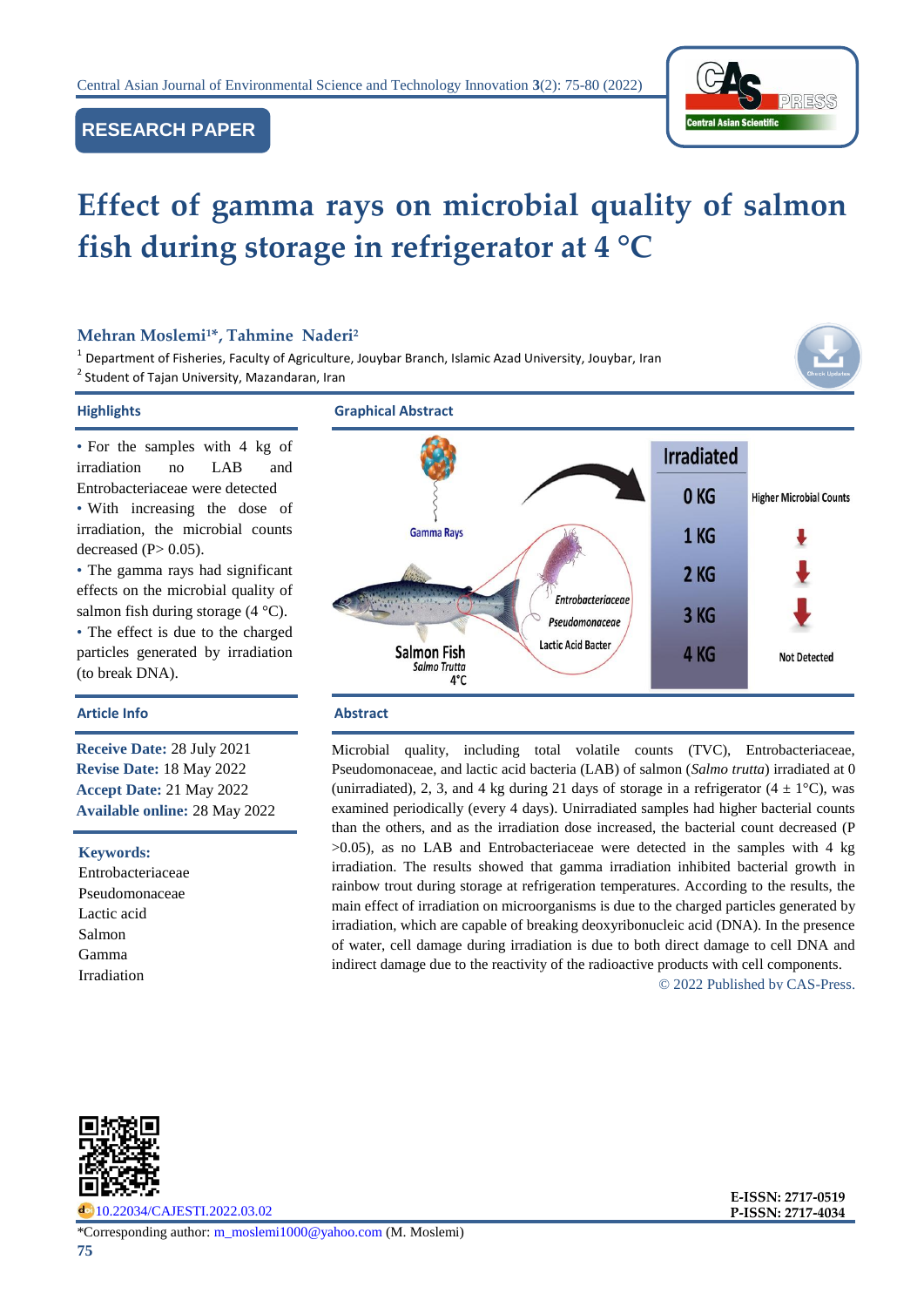



# **Effect of gamma rays on microbial quality of salmon fish during storage in refrigerator at 4 °C**

# **Mehran Moslemi<sup>1</sup>\*, Tahmine Naderi<sup>2</sup>**

<sup>1</sup> Department of Fisheries, Faculty of Agriculture, Jouybar Branch, Islamic Azad University, Jouybar, Iran <sup>2</sup> Student of Tajan University, Mazandaran, Iran



#### **Highlights Graphical Abstract**

• For the samples with 4 kg of irradiation no LAB and Entrobacteriaceae were detected • With increasing the dose of irradiation, the microbial counts decreased  $(P> 0.05)$ .

• The gamma rays had significant effects on the microbial quality of salmon fish during storage (4 °C).

• The effect is due to the charged particles generated by irradiation (to break DNA).

# **Article Info Abstract**

**Receive Date:** 28 July 2021 **Revise Date:** 18 May 2022 **Accept Date:** 21 May 2022 **Available online:** 28 May 2022

#### **Keywords:**

Entrobacteriaceae Pseudomonaceae Lactic acid Salmon Gamma Irradiation



Microbial quality, including total volatile counts (TVC), Entrobacteriaceae, Pseudomonaceae, and lactic acid bacteria (LAB) of salmon (*Salmo trutta*) irradiated at 0 (unirradiated), 2, 3, and 4 kg during 21 days of storage in a refrigerator  $(4 \pm 1^{\circ}C)$ , was examined periodically (every 4 days). Unirradiated samples had higher bacterial counts than the others, and as the irradiation dose increased, the bacterial count decreased (P >0.05), as no LAB and Entrobacteriaceae were detected in the samples with 4 kg irradiation. The results showed that gamma irradiation inhibited bacterial growth in rainbow trout during storage at refrigeration temperatures. According to the results, the main effect of irradiation on microorganisms is due to the charged particles generated by irradiation, which are capable of breaking deoxyribonucleic acid (DNA). In the presence of water, cell damage during irradiation is due to both direct damage to cell DNA and indirect damage due to the reactivity of the radioactive products with cell components.

© 2022 Published by CAS-Press.



[10.22034/CAJESTI.2022.03.02](https://www.cas-press.com/article_150165.html)

\*Corresponding author: [m\\_moslemi1000@yahoo.com](mailto:m_moslemi1000@yahoo.com) (M. Moslemi)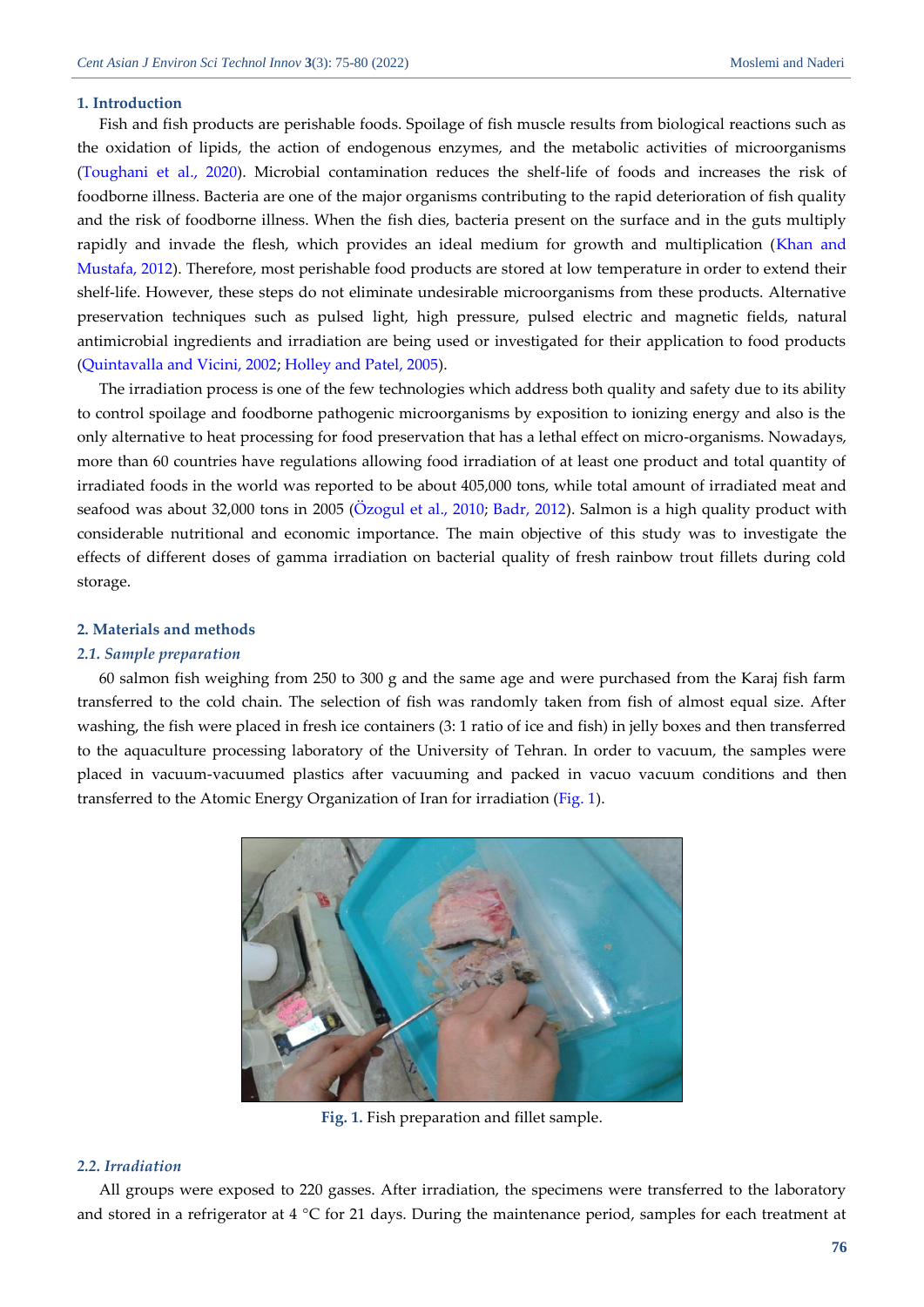#### **1. Introduction**

Fish and fish products are perishable foods. Spoilage of fish muscle results from biological reactions such as the oxidation of lipids, the action of endogenous enzymes, and the metabolic activities of microorganisms [\(Toughani et al., 2020\)](#page-5-0). Microbial contamination reduces the shelf-life of foods and increases the risk of foodborne illness. Bacteria are one of the major organisms contributing to the rapid deterioration of fish quality and the risk of foodborne illness. When the fish dies, bacteria present on the surface and in the guts multiply rapidly and invade the flesh, which provides an ideal medium for growth and multiplication (Khan and [Mustafa, 2012\)](#page-5-1). Therefore, most perishable food products are stored at low temperature in order to extend their shelf-life. However, these steps do not eliminate undesirable microorganisms from these products. Alternative preservation techniques such as pulsed light, high pressure, pulsed electric and magnetic fields, natural antimicrobial ingredients and irradiation are being used or investigated for their application to food products [\(Quintavalla and Vicini, 2002;](#page-5-2) [Holley and Patel, 2005\)](#page-5-3).

The irradiation process is one of the few technologies which address both quality and safety due to its ability to control spoilage and foodborne pathogenic microorganisms by exposition to ionizing energy and also is the only alternative to heat processing for food preservation that has a lethal effect on micro-organisms. Nowadays, more than 60 countries have regulations allowing food irradiation of at least one product and total quantity of irradiated foods in the world was reported to be about 405,000 tons, while total amount of irradiated meat and seafood was about 32,000 tons in 2005 [\(Özogul et al., 2010;](#page-5-4) [Badr, 2012\)](#page-4-0). Salmon is a high quality product with considerable nutritional and economic importance. The main objective of this study was to investigate the effects of different doses of gamma irradiation on bacterial quality of fresh rainbow trout fillets during cold storage.

#### **2. Materials and methods**

# *2.1. Sample preparation*

60 salmon fish weighing from 250 to 300 g and the same age and were purchased from the Karaj fish farm transferred to the cold chain. The selection of fish was randomly taken from fish of almost equal size. After washing, the fish were placed in fresh ice containers (3: 1 ratio of ice and fish) in jelly boxes and then transferred to the aquaculture processing laboratory of the University of Tehran. In order to vacuum, the samples were placed in vacuum-vacuumed plastics after vacuuming and packed in vacuo vacuum conditions and then transferred to the Atomic Energy Organization of Iran for irradiation [\(Fig. 1\)](#page-1-0).



**Fig. 1.** Fish preparation and fillet sample.

# <span id="page-1-0"></span>*2.2. Irradiation*

All groups were exposed to 220 gasses. After irradiation, the specimens were transferred to the laboratory and stored in a refrigerator at 4 °C for 21 days. During the maintenance period, samples for each treatment at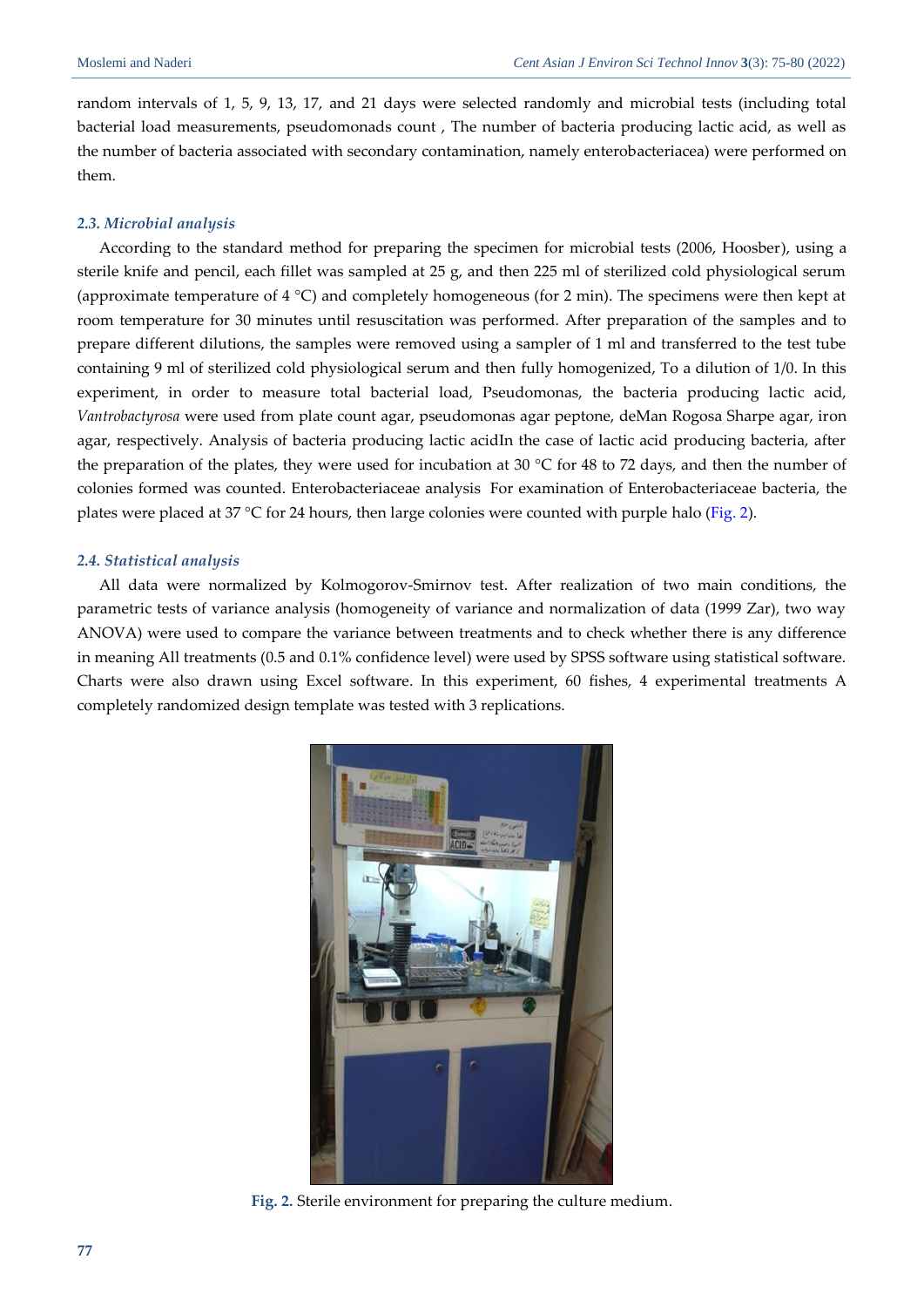random intervals of 1, 5, 9, 13, 17, and 21 days were selected randomly and microbial tests (including total bacterial load measurements, pseudomonads count , The number of bacteria producing lactic acid, as well as the number of bacteria associated with secondary contamination, namely enterobacteriacea) were performed on them.

# *2.3. Microbial analysis*

According to the standard method for preparing the specimen for microbial tests (2006, Hoosber), using a sterile knife and pencil, each fillet was sampled at 25 g, and then 225 ml of sterilized cold physiological serum (approximate temperature of 4 °C) and completely homogeneous (for 2 min). The specimens were then kept at room temperature for 30 minutes until resuscitation was performed. After preparation of the samples and to prepare different dilutions, the samples were removed using a sampler of 1 ml and transferred to the test tube containing 9 ml of sterilized cold physiological serum and then fully homogenized, To a dilution of 1/0. In this experiment, in order to measure total bacterial load, Pseudomonas, the bacteria producing lactic acid, *Vantrobactyrosa* were used from plate count agar, pseudomonas agar peptone, deMan Rogosa Sharpe agar, iron agar, respectively. Analysis of bacteria producing lactic acidIn the case of lactic acid producing bacteria, after the preparation of the plates, they were used for incubation at 30  $^{\circ}$ C for 48 to 72 days, and then the number of colonies formed was counted. Enterobacteriaceae analysis For examination of Enterobacteriaceae bacteria, the plates were placed at 37 °C for 24 hours, then large colonies were counted with purple halo [\(Fig. 2\)](#page-2-0).

#### *2.4. Statistical analysis*

All data were normalized by Kolmogorov-Smirnov test. After realization of two main conditions, the parametric tests of variance analysis (homogeneity of variance and normalization of data (1999 Zar), two way ANOVA) were used to compare the variance between treatments and to check whether there is any difference in meaning All treatments (0.5 and 0.1% confidence level) were used by SPSS software using statistical software. Charts were also drawn using Excel software. In this experiment, 60 fishes, 4 experimental treatments A completely randomized design template was tested with 3 replications.

<span id="page-2-0"></span>

**Fig. 2.** Sterile environment for preparing the culture medium.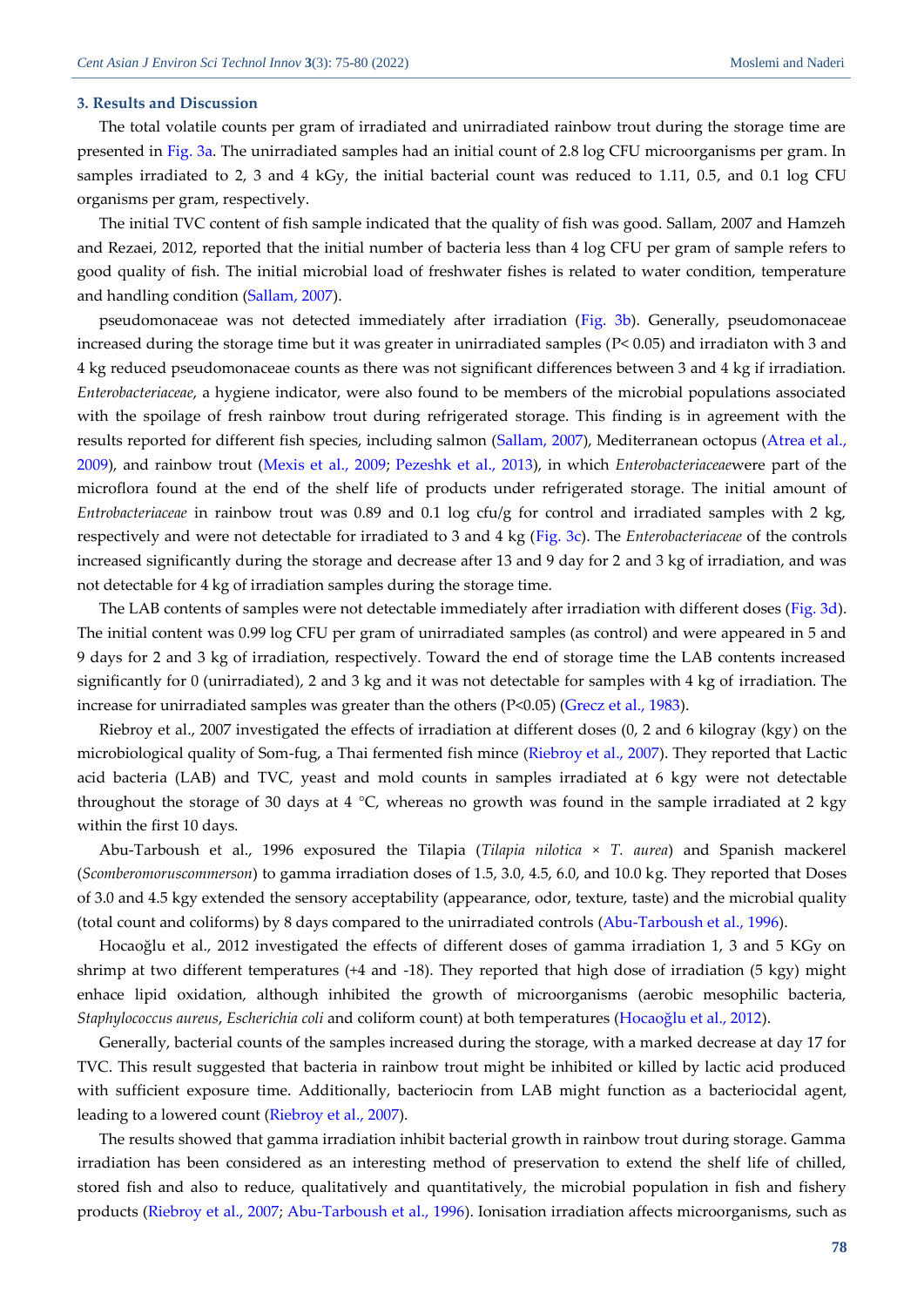#### **3. Results and Discussion**

The total volatile counts per gram of irradiated and unirradiated rainbow trout during the storage time are presented in [Fig. 3a.](#page-4-1) The unirradiated samples had an initial count of 2.8 log CFU microorganisms per gram. In samples irradiated to 2, 3 and 4 kGy, the initial bacterial count was reduced to 1.11, 0.5, and 0.1 log CFU organisms per gram, respectively.

The initial TVC content of fish sample indicated that the quality of fish was good. Sallam, 2007 and Hamzeh and Rezaei, 2012, reported that the initial number of bacteria less than 4 log CFU per gram of sample refers to good quality of fish. The initial microbial load of freshwater fishes is related to water condition, temperature and handling condition [\(Sallam, 2007\)](#page-5-5).

pseudomonaceae was not detected immediately after irradiation [\(Fig. 3b\)](#page-4-1). Generally, pseudomonaceae increased during the storage time but it was greater in unirradiated samples (P< 0.05) and irradiaton with 3 and 4 kg reduced pseudomonaceae counts as there was not significant differences between 3 and 4 kg if irradiation. *Enterobacteriaceae*, a hygiene indicator, were also found to be members of the microbial populations associated with the spoilage of fresh rainbow trout during refrigerated storage. This finding is in agreement with the results reported for different fish species, including salmon [\(Sallam,](#page-5-5) 2007), Mediterranean octopus [\(Atrea et al.,](#page-4-2) [2009\)](#page-4-2), and rainbow trout [\(Mexis et al.,](#page-5-6) 2009; [Pezeshk et al., 2013\)](#page-5-7), in which *Enterobacteriaceae*were part of the microflora found at the end of the shelf life of products under refrigerated storage. The initial amount of *Entrobacteriaceae* in rainbow trout was 0.89 and 0.1 log cfu/g for control and irradiated samples with 2 kg, respectively and were not detectable for irradiated to 3 and 4 kg [\(Fig. 3c\)](#page-4-1). The *Enterobacteriaceae* of the controls increased significantly during the storage and decrease after 13 and 9 day for 2 and 3 kg of irradiation, and was not detectable for 4 kg of irradiation samples during the storage time.

The LAB contents of samples were not detectable immediately after irradiation with different doses [\(Fig. 3d\)](#page-4-1). The initial content was 0.99 log CFU per gram of unirradiated samples (as control) and were appeared in 5 and 9 days for 2 and 3 kg of irradiation, respectively. Toward the end of storage time the LAB contents increased significantly for 0 (unirradiated), 2 and 3 kg and it was not detectable for samples with 4 kg of irradiation. The increase for unirradiated samples was greater than the others  $(P<0.05)$  (Grecz et al., 1983).

Riebroy et al., 2007 investigated the effects of irradiation at different doses (0, 2 and 6 kilogray (kgy) on the microbiological quality of Som-fug, a Thai fermented fish mince [\(Riebroy et al., 2007\)](#page-5-8). They reported that Lactic acid bacteria (LAB) and TVC, yeast and mold counts in samples irradiated at 6 kgy were not detectable throughout the storage of 30 days at 4  $\degree$ C, whereas no growth was found in the sample irradiated at 2 kgy within the first 10 days.

Abu-Tarboush et al., 1996 exposured the Tilapia (*Tilapia nilotica* × *T. aurea*) and Spanish mackerel (*Scomberomoruscommerson*) to gamma irradiation doses of 1.5, 3.0, 4.5, 6.0, and 10.0 kg. They reported that Doses of 3.0 and 4.5 kgy extended the sensory acceptability (appearance, odor, texture, taste) and the microbial quality (total count and coliforms) by 8 days compared to the unirradiated controls [\(Abu-Tarboush et al., 1996\)](#page-4-3).

Hocaoğlu et al., 2012 investigated the effects of different doses of gamma irradiation 1, 3 and 5 KGy on shrimp at two different temperatures (+4 and -18). They reported that high dose of irradiation (5 kgy) might enhace lipid oxidation, although inhibited the growth of microorganisms (aerobic mesophilic bacteria, *Staphylococcus aureus*, *Escherichia coli* and coliform count) at both temperatures ([Hocaoğlu et al., 2012](#page-5-9)).

Generally, bacterial counts of the samples increased during the storage, with a marked decrease at day 17 for TVC. This result suggested that bacteria in rainbow trout might be inhibited or killed by lactic acid produced with sufficient exposure time. Additionally, bacteriocin from LAB might function as a bacteriocidal agent, leading to a lowered count [\(Riebroy et al., 2007\)](#page-5-8).

The results showed that gamma irradiation inhibit bacterial growth in rainbow trout during storage. Gamma irradiation has been considered as an interesting method of preservation to extend the shelf life of chilled, stored fish and also to reduce, qualitatively and quantitatively, the microbial population in fish and fishery products [\(Riebroy et al., 2007;](#page-5-8) [Abu-Tarboush et al., 1996\)](#page-4-3). Ionisation irradiation affects microorganisms, such as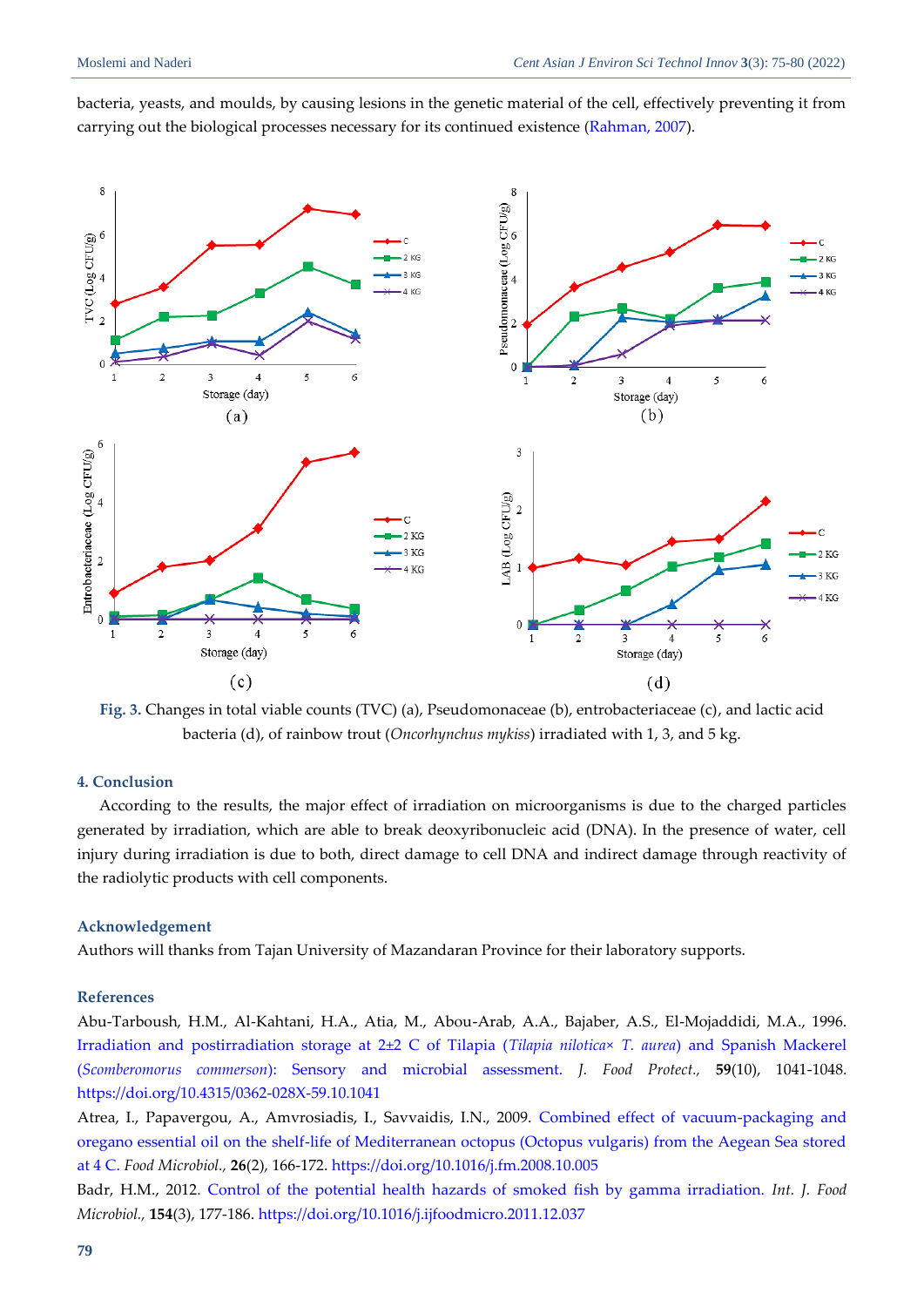

bacteria, yeasts, and moulds, by causing lesions in the genetic material of the cell, effectively preventing it from carrying out the biological processes necessary for its continued existence [\(Rahman, 2007\)](#page-5-10).

<span id="page-4-1"></span>**Fig. 3.** Changes in total viable counts (TVC) (a), Pseudomonaceae (b), entrobacteriaceae (c), and lactic acid bacteria (d), of rainbow trout (*Oncorhynchus mykiss*) irradiated with 1, 3, and 5 kg.

# **4. Conclusion**

According to the results, the major effect of irradiation on microorganisms is due to the charged particles generated by irradiation, which are able to break deoxyribonucleic acid (DNA). In the presence of water, cell injury during irradiation is due to both, direct damage to cell DNA and indirect damage through reactivity of the radiolytic products with cell components.

#### **Acknowledgement**

Authors will thanks from Tajan University of Mazandaran Province for their laboratory supports.

# **References**

<span id="page-4-3"></span>Abu-Tarboush, H.M., Al-Kahtani, H.A., Atia, M., Abou-Arab, A.A., Bajaber, A.S., El-Mojaddidi, M.A., 1996. [Irradiation and postirradiation storage at 2±2 C of Tilapia \(](https://watermark.silverchair.com/0362-028x-59_10_1041.pdf?token=AQECAHi208BE49Ooan9kkhW_Ercy7Dm3ZL_9Cf3qfKAc485ysgAAAvowggL2BgkqhkiG9w0BBwagggLnMIIC4wIBADCCAtwGCSqGSIb3DQEHATAeBglghkgBZQMEAS4wEQQMBoE8-k5ZytNMvt-nAgEQgIICraqRZas-NCAuiH-C6xkxMKe82pK53ed-Uig8rZUKUAoBBaYP33J1d3Uvmcm526Q4e2_MaLuzbg0D_D_2IIgJo-b6jfbEXxcyM8rN5RcMGFfB2kvSzZWNP_yhQlE0YcsVblMDgD3aV-PQT-lAqHcNXqnTZm0AK0gLIPTGNbRo4KTBTxI8WWYXxXvW95UV8xuecUSGGeEY4MQ2k-fErXURuGciQu3Ll6n_Y5ttLerxntFDOLjZ2qG9KPv7ppyH1TCDlJsteti1tKybCZajzQo6OxQx3ygRw55LMSFS7GnEHfwtIjPLLP5sjFNmab2wGS-gchsCFy6EiSJC0Z0mUlzjwmtpujFOMJRXL-mn3osd4lptjxsWfSHBifJ_X7rIqZ8bW_ieDBhRSmZ6Xjg5yefo_BokUH0GSxho7m0eaKvM6PokcU91mgpQq39WsoEBZdhzD9TS80QSRpnjtDypGNgmdvusqOxbOyYIb-gmaWXM8UtCHGbNUPunX2fgp8VH_iWSdrF2RpuxdRBNYtE0v-BEraW8krptp4oC4ptLQP0e01eWu_16Uh5qY8xRmv4JYuoyXYVhxoylfIS0Stoq-yMzL8j7n6WOYZj1FIoT_lBNH93DapCuXwmCjypnlnSn2-53SY1pPSfUmzn-ZmMZGUKBEt_6OkLdW5bzA_LXwIk47Vkp72TCSuRnn_n1e1gTaXfD3s_PTiVBzmuKdcB4XXjJECo1YhgSsItTcxmsUFwecRooRdqhNww9D-a75qxRHTgwg8c9B11mDp9C3vIkmaVZo_llRw7M-ALRqZH1K6D_eYqgqxvQ3G6_zqd9AcldklvwFof36wdPej0gxVqgrLeESwrHmzElwgZ5cn7o0g9P93TRzXkJZmm7nBkq5_MsiLK1pbnqK9FrJbLAOsWUeWU)*Tilapia nilotica*× *T. aurea*) and Spanish Mackerel (*Scomberomorus commerson*[\): Sensory and microbial assessment.](https://watermark.silverchair.com/0362-028x-59_10_1041.pdf?token=AQECAHi208BE49Ooan9kkhW_Ercy7Dm3ZL_9Cf3qfKAc485ysgAAAvowggL2BgkqhkiG9w0BBwagggLnMIIC4wIBADCCAtwGCSqGSIb3DQEHATAeBglghkgBZQMEAS4wEQQMBoE8-k5ZytNMvt-nAgEQgIICraqRZas-NCAuiH-C6xkxMKe82pK53ed-Uig8rZUKUAoBBaYP33J1d3Uvmcm526Q4e2_MaLuzbg0D_D_2IIgJo-b6jfbEXxcyM8rN5RcMGFfB2kvSzZWNP_yhQlE0YcsVblMDgD3aV-PQT-lAqHcNXqnTZm0AK0gLIPTGNbRo4KTBTxI8WWYXxXvW95UV8xuecUSGGeEY4MQ2k-fErXURuGciQu3Ll6n_Y5ttLerxntFDOLjZ2qG9KPv7ppyH1TCDlJsteti1tKybCZajzQo6OxQx3ygRw55LMSFS7GnEHfwtIjPLLP5sjFNmab2wGS-gchsCFy6EiSJC0Z0mUlzjwmtpujFOMJRXL-mn3osd4lptjxsWfSHBifJ_X7rIqZ8bW_ieDBhRSmZ6Xjg5yefo_BokUH0GSxho7m0eaKvM6PokcU91mgpQq39WsoEBZdhzD9TS80QSRpnjtDypGNgmdvusqOxbOyYIb-gmaWXM8UtCHGbNUPunX2fgp8VH_iWSdrF2RpuxdRBNYtE0v-BEraW8krptp4oC4ptLQP0e01eWu_16Uh5qY8xRmv4JYuoyXYVhxoylfIS0Stoq-yMzL8j7n6WOYZj1FIoT_lBNH93DapCuXwmCjypnlnSn2-53SY1pPSfUmzn-ZmMZGUKBEt_6OkLdW5bzA_LXwIk47Vkp72TCSuRnn_n1e1gTaXfD3s_PTiVBzmuKdcB4XXjJECo1YhgSsItTcxmsUFwecRooRdqhNww9D-a75qxRHTgwg8c9B11mDp9C3vIkmaVZo_llRw7M-ALRqZH1K6D_eYqgqxvQ3G6_zqd9AcldklvwFof36wdPej0gxVqgrLeESwrHmzElwgZ5cn7o0g9P93TRzXkJZmm7nBkq5_MsiLK1pbnqK9FrJbLAOsWUeWU) *J. Food Protect.,* **59**(10), 1041-1048. <https://doi.org/10.4315/0362-028X-59.10.1041>

<span id="page-4-2"></span>Atrea, I., Papavergou, A., Amvrosiadis, I., Savvaidis, I.N., 2009. [Combined effect of vacuum-packaging and](https://srv2.freepaper.me/n/qcj7ceN1N46RfyGco3EKIg/PDF/25/25d4b99c89a01c4cbc22323e6f617fc8.pdf)  [oregano essential oil on the shelf-life of Mediterranean octopus \(Octopus vulgaris\) from the Aegean Sea stored](https://srv2.freepaper.me/n/qcj7ceN1N46RfyGco3EKIg/PDF/25/25d4b99c89a01c4cbc22323e6f617fc8.pdf)  [at 4 C.](https://srv2.freepaper.me/n/qcj7ceN1N46RfyGco3EKIg/PDF/25/25d4b99c89a01c4cbc22323e6f617fc8.pdf) *Food Microbiol.,* **26**(2), 166-172. <https://doi.org/10.1016/j.fm.2008.10.005>

<span id="page-4-0"></span>Badr, H.M., 2012. [Control of the potential health hazards of smoked fish by gamma irradiation.](https://srv2.freepaper.me/n/-s4c8ZCt8bJlxEmnfrg_XA/PDF/fc/fcf7cf1181ce6b11d868e4b3fba6981b.pdf) *Int. J. Food Microbiol.,* **154**(3), 177-186. <https://doi.org/10.1016/j.ijfoodmicro.2011.12.037>